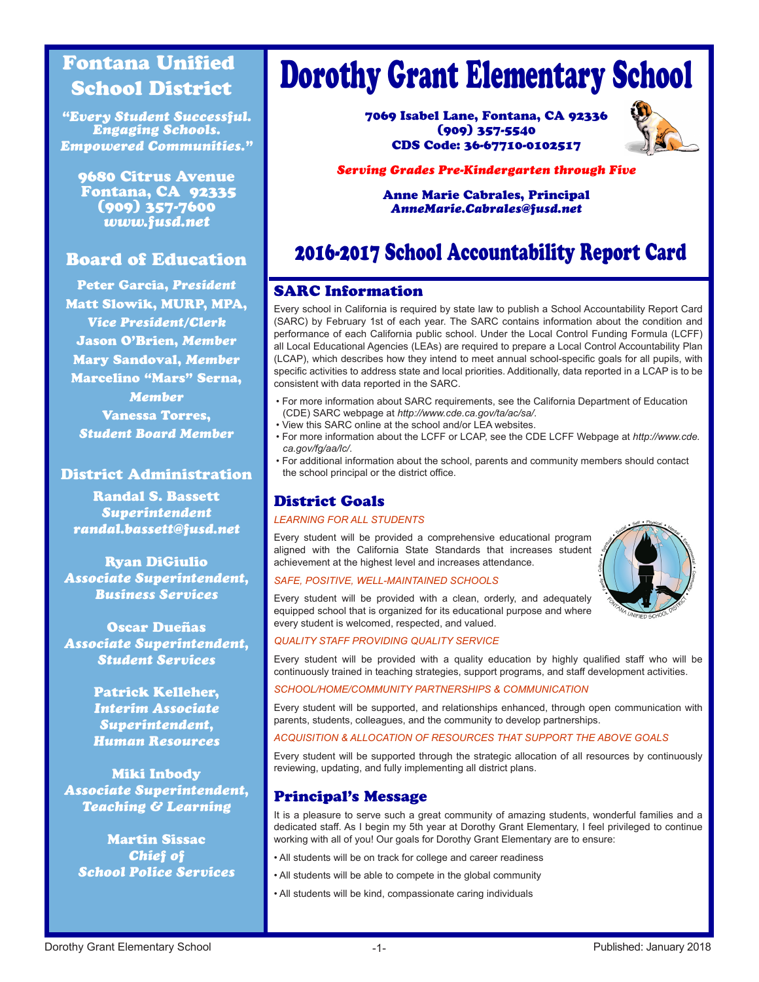# Fontana Unified School District

*"Every Student Successful. Engaging Schools. Empowered Communities."*

9680 Citrus Avenue Fontana, CA 92335 (909) 357-7600 *www.fusd.net*

## Board of Education

Peter Garcia, *President* Matt Slowik, MURP, MPA, *Vice President/Clerk* Jason O'Brien, *Member* Mary Sandoval, *Member* Marcelino "Mars" Serna, *Member* Vanessa Torres, *Student Board Member*

#### District Administration

Randal S. Bassett *Superintendent randal.bassett@fusd.net*

Ryan DiGiulio *Associate Superintendent, Business Services*

Oscar Dueñas *Associate Superintendent, Student Services*

> Patrick Kelleher, *Interim Associate Superintendent, Human Resources*

Miki Inbody *Associate Superintendent, Teaching & Learning*

Martin Sissac *Chief of School Police Services*

# Dorothy Grant Elementary School

7069 Isabel Lane, Fontana, CA 92336 (909) 357-5540 CDS Code: 36-67710-0102517



#### *Serving Grades Pre-Kindergarten through Five*

Anne Marie Cabrales, Principal *AnneMarie.Cabrales@fusd.net*

# 2016-2017 School Accountability Report Card

#### SARC Information

Every school in California is required by state law to publish a School Accountability Report Card (SARC) by February 1st of each year. The SARC contains information about the condition and performance of each California public school. Under the Local Control Funding Formula (LCFF) all Local Educational Agencies (LEAs) are required to prepare a Local Control Accountability Plan (LCAP), which describes how they intend to meet annual school-specific goals for all pupils, with specific activities to address state and local priorities. Additionally, data reported in a LCAP is to be consistent with data reported in the SARC.

- For more information about SARC requirements, see the California Department of Education (CDE) SARC webpage at *http://www.cde.ca.gov/ta/ac/sa/*.
- View this SARC online at the school and/or LEA websites.
- For more information about the LCFF or LCAP, see the CDE LCFF Webpage at *http://www.cde. ca.gov/fg/aa/lc/*.
- For additional information about the school, parents and community members should contact the school principal or the district office.

#### District Goals

#### *LEARNING FOR ALL STUDENTS*

Every student will be provided a comprehensive educational program aligned with the California State Standards that increases student achievement at the highest level and increases attendance.

#### *SAFE, POSITIVE, WELL-MAINTAINED SCHOOLS*



Every student will be provided with a clean, orderly, and adequately equipped school that is organized for its educational purpose and where every student is welcomed, respected, and valued.

#### *QUALITY STAFF PROVIDING QUALITY SERVICE*

Every student will be provided with a quality education by highly qualified staff who will be continuously trained in teaching strategies, support programs, and staff development activities.

#### *SCHOOL/HOME/COMMUNITY PARTNERSHIPS & COMMUNICATION*

Every student will be supported, and relationships enhanced, through open communication with parents, students, colleagues, and the community to develop partnerships.

*ACQUISITION & ALLOCATION OF RESOURCES THAT SUPPORT THE ABOVE GOALS* 

Every student will be supported through the strategic allocation of all resources by continuously reviewing, updating, and fully implementing all district plans.

#### Principal's Message

It is a pleasure to serve such a great community of amazing students, wonderful families and a dedicated staff. As I begin my 5th year at Dorothy Grant Elementary, I feel privileged to continue working with all of you! Our goals for Dorothy Grant Elementary are to ensure:

- All students will be on track for college and career readiness
- All students will be able to compete in the global community
- All students will be kind, compassionate caring individuals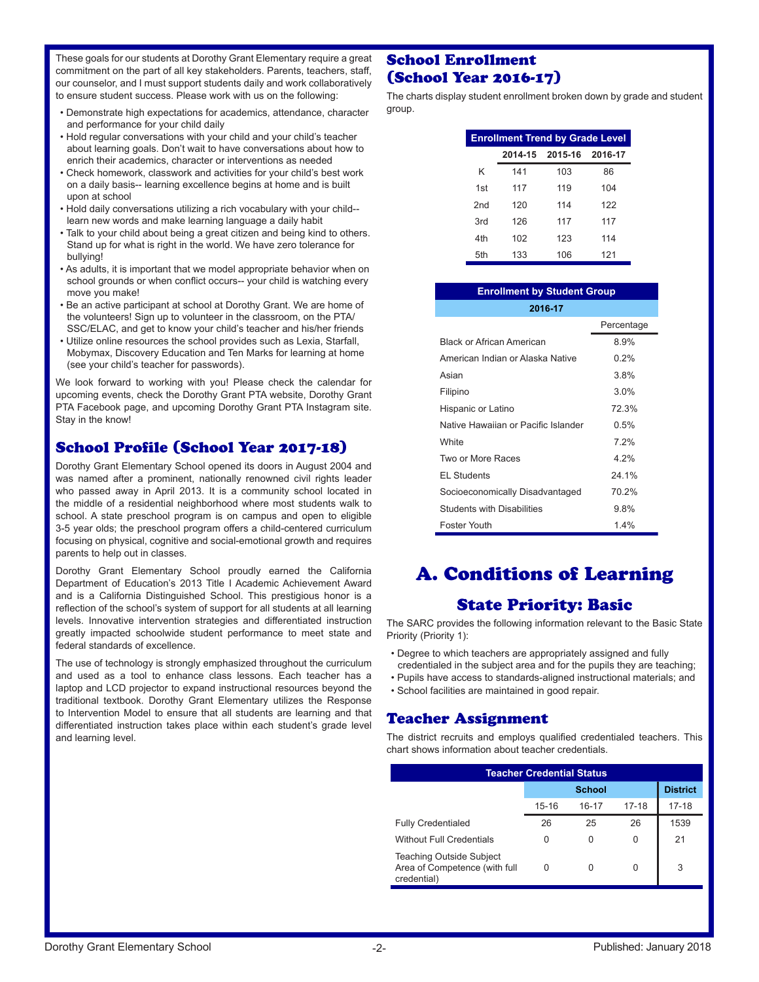These goals for our students at Dorothy Grant Elementary require a great commitment on the part of all key stakeholders. Parents, teachers, staff, our counselor, and I must support students daily and work collaboratively to ensure student success. Please work with us on the following:

- Demonstrate high expectations for academics, attendance, character and performance for your child daily
- Hold regular conversations with your child and your child's teacher about learning goals. Don't wait to have conversations about how to enrich their academics, character or interventions as needed
- Check homework, classwork and activities for your child's best work on a daily basis-- learning excellence begins at home and is built upon at school
- Hold daily conversations utilizing a rich vocabulary with your child- learn new words and make learning language a daily habit
- Talk to your child about being a great citizen and being kind to others. Stand up for what is right in the world. We have zero tolerance for bullying!
- As adults, it is important that we model appropriate behavior when on school grounds or when conflict occurs-- your child is watching every move you make!
- Be an active participant at school at Dorothy Grant. We are home of the volunteers! Sign up to volunteer in the classroom, on the PTA/ SSC/ELAC, and get to know your child's teacher and his/her friends
- Utilize online resources the school provides such as Lexia, Starfall, Mobymax, Discovery Education and Ten Marks for learning at home (see your child's teacher for passwords).

We look forward to working with you! Please check the calendar for upcoming events, check the Dorothy Grant PTA website, Dorothy Grant PTA Facebook page, and upcoming Dorothy Grant PTA Instagram site. Stay in the know!

#### School Profile (School Year 2017-18)

Dorothy Grant Elementary School opened its doors in August 2004 and was named after a prominent, nationally renowned civil rights leader who passed away in April 2013. It is a community school located in the middle of a residential neighborhood where most students walk to school. A state preschool program is on campus and open to eligible 3-5 year olds; the preschool program offers a child-centered curriculum focusing on physical, cognitive and social-emotional growth and requires parents to help out in classes.

Dorothy Grant Elementary School proudly earned the California Department of Education's 2013 Title I Academic Achievement Award and is a California Distinguished School. This prestigious honor is a reflection of the school's system of support for all students at all learning levels. Innovative intervention strategies and differentiated instruction greatly impacted schoolwide student performance to meet state and federal standards of excellence.

The use of technology is strongly emphasized throughout the curriculum and used as a tool to enhance class lessons. Each teacher has a laptop and LCD projector to expand instructional resources beyond the traditional textbook. Dorothy Grant Elementary utilizes the Response to Intervention Model to ensure that all students are learning and that differentiated instruction takes place within each student's grade level and learning level.

## School Enrollment (School Year 2016-17)

The charts display student enrollment broken down by grade and student group.

|     | <b>Enrollment Trend by Grade Level</b> |         |         |  |  |  |  |  |  |  |
|-----|----------------------------------------|---------|---------|--|--|--|--|--|--|--|
|     | 2014-15                                | 2015-16 | 2016-17 |  |  |  |  |  |  |  |
| Κ   | 141                                    | 103     | 86      |  |  |  |  |  |  |  |
| 1st | 117                                    | 119     | 104     |  |  |  |  |  |  |  |
| 2nd | 120                                    | 114     | 122     |  |  |  |  |  |  |  |
| 3rd | 126                                    | 117     | 117     |  |  |  |  |  |  |  |
| 4th | 102                                    | 123     | 114     |  |  |  |  |  |  |  |
| 5th | 133                                    | 106     | 121     |  |  |  |  |  |  |  |

| <b>Enrollment by Student Group</b>  |            |  |  |  |  |  |  |  |  |  |  |
|-------------------------------------|------------|--|--|--|--|--|--|--|--|--|--|
| 2016-17                             |            |  |  |  |  |  |  |  |  |  |  |
|                                     | Percentage |  |  |  |  |  |  |  |  |  |  |
| <b>Black or African American</b>    | 8.9%       |  |  |  |  |  |  |  |  |  |  |
| American Indian or Alaska Native    | $0.2\%$    |  |  |  |  |  |  |  |  |  |  |
| Asian                               | 3.8%       |  |  |  |  |  |  |  |  |  |  |
| Filipino                            | 3.0%       |  |  |  |  |  |  |  |  |  |  |
| Hispanic or Latino                  | 72.3%      |  |  |  |  |  |  |  |  |  |  |
| Native Hawaiian or Pacific Islander | 0.5%       |  |  |  |  |  |  |  |  |  |  |
| White                               | 7 2%       |  |  |  |  |  |  |  |  |  |  |
| Two or More Races                   | 4 2%       |  |  |  |  |  |  |  |  |  |  |
| <b>EL Students</b>                  | 24 1%      |  |  |  |  |  |  |  |  |  |  |
| Socioeconomically Disadvantaged     | 70.2%      |  |  |  |  |  |  |  |  |  |  |
| <b>Students with Disabilities</b>   | 9.8%       |  |  |  |  |  |  |  |  |  |  |
| Foster Youth                        | 1.4%       |  |  |  |  |  |  |  |  |  |  |

# A. Conditions of Learning

## State Priority: Basic

The SARC provides the following information relevant to the Basic State Priority (Priority 1):

- Degree to which teachers are appropriately assigned and fully
- credentialed in the subject area and for the pupils they are teaching; • Pupils have access to standards-aligned instructional materials; and
- School facilities are maintained in good repair.
- 

#### Teacher Assignment

The district recruits and employs qualified credentialed teachers. This chart shows information about teacher credentials.

| <b>Teacher Credential Status</b>                                                |       |               |           |           |  |  |  |  |  |  |  |
|---------------------------------------------------------------------------------|-------|---------------|-----------|-----------|--|--|--|--|--|--|--|
|                                                                                 |       | <b>School</b> |           |           |  |  |  |  |  |  |  |
|                                                                                 | 15-16 | 16-17         | $17 - 18$ | $17 - 18$ |  |  |  |  |  |  |  |
| <b>Fully Credentialed</b>                                                       | 26    | 25            | 26        | 1539      |  |  |  |  |  |  |  |
| <b>Without Full Credentials</b>                                                 |       | 0             | 0         | 21        |  |  |  |  |  |  |  |
| <b>Teaching Outside Subject</b><br>Area of Competence (with full<br>credential) |       | 0             | 0         | 3         |  |  |  |  |  |  |  |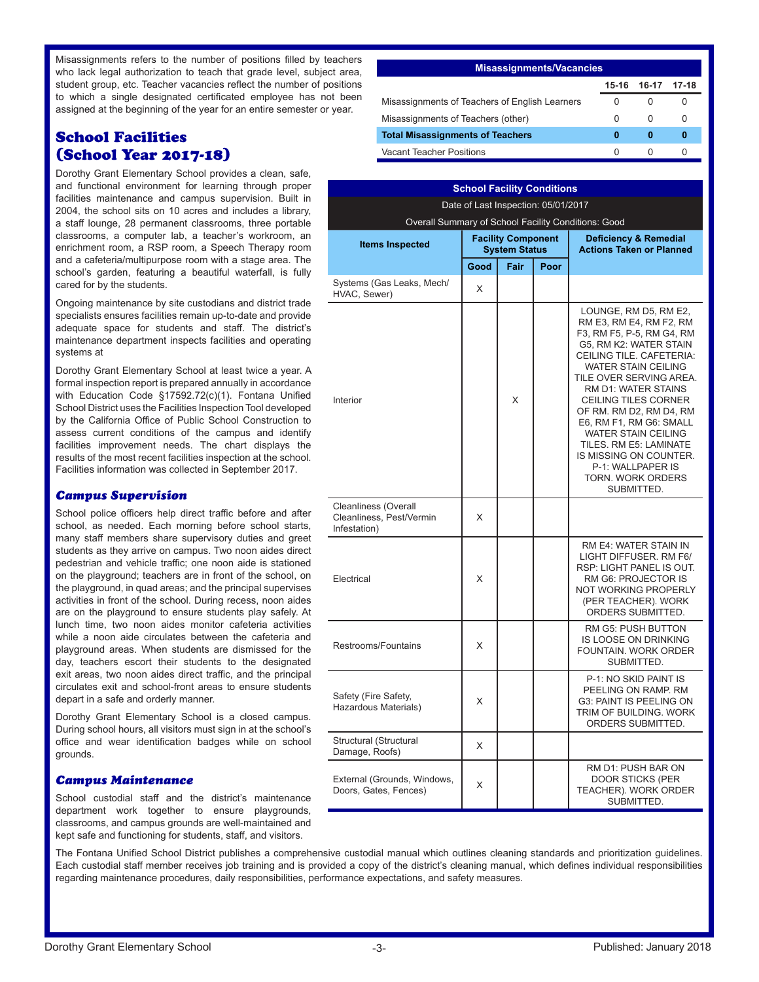Misassignments refers to the number of positions filled by teachers who lack legal authorization to teach that grade level, subject area, student group, etc. Teacher vacancies reflect the number of positions to which a single designated certificated employee has not been assigned at the beginning of the year for an entire semester or year.

### School Facilities (School Year 2017-18)

Dorothy Grant Elementary School provides a clean, safe, and functional environment for learning through proper facilities maintenance and campus supervision. Built in 2004, the school sits on 10 acres and includes a library, a staff lounge, 28 permanent classrooms, three portable classrooms, a computer lab, a teacher's workroom, an enrichment room, a RSP room, a Speech Therapy room and a cafeteria/multipurpose room with a stage area. The school's garden, featuring a beautiful waterfall, is fully cared for by the students.

Ongoing maintenance by site custodians and district trade specialists ensures facilities remain up-to-date and provide adequate space for students and staff. The district's maintenance department inspects facilities and operating systems at

Dorothy Grant Elementary School at least twice a year. A formal inspection report is prepared annually in accordance with Education Code §17592.72(c)(1). Fontana Unified School District uses the Facilities Inspection Tool developed by the California Office of Public School Construction to assess current conditions of the campus and identify facilities improvement needs. The chart displays the results of the most recent facilities inspection at the school. Facilities information was collected in September 2017.

#### *Campus Supervision*

School police officers help direct traffic before and after school, as needed. Each morning before school starts, many staff members share supervisory duties and greet students as they arrive on campus. Two noon aides direct pedestrian and vehicle traffic; one noon aide is stationed on the playground; teachers are in front of the school, on the playground, in quad areas; and the principal supervises activities in front of the school. During recess, noon aides are on the playground to ensure students play safely. At lunch time, two noon aides monitor cafeteria activities while a noon aide circulates between the cafeteria and playground areas. When students are dismissed for the day, teachers escort their students to the designated exit areas, two noon aides direct traffic, and the principal circulates exit and school-front areas to ensure students depart in a safe and orderly manner.

Dorothy Grant Elementary School is a closed campus. During school hours, all visitors must sign in at the school's office and wear identification badges while on school grounds.

#### *Campus Maintenance*

School custodial staff and the district's maintenance department work together to ensure playgrounds, classrooms, and campus grounds are well-maintained and kept safe and functioning for students, staff, and visitors.

| <b>Misassignments/Vacancies</b>                |          |             |   |  |  |  |  |  |  |
|------------------------------------------------|----------|-------------|---|--|--|--|--|--|--|
|                                                | 15-16    | 16-17 17-18 |   |  |  |  |  |  |  |
| Misassignments of Teachers of English Learners | 0        |             |   |  |  |  |  |  |  |
| Misassignments of Teachers (other)             | $\Omega$ | $\Omega$    |   |  |  |  |  |  |  |
| <b>Total Misassignments of Teachers</b>        | 0        | 0           | 0 |  |  |  |  |  |  |
| Vacant Teacher Positions                       |          |             |   |  |  |  |  |  |  |

| <b>School Facility Conditions</b>                                       |                                     |                                                   |      |                                                                                                                                                                                                                                                                                                                                                                                                                                                                  |  |  |  |  |  |  |  |
|-------------------------------------------------------------------------|-------------------------------------|---------------------------------------------------|------|------------------------------------------------------------------------------------------------------------------------------------------------------------------------------------------------------------------------------------------------------------------------------------------------------------------------------------------------------------------------------------------------------------------------------------------------------------------|--|--|--|--|--|--|--|
|                                                                         | Date of Last Inspection: 05/01/2017 |                                                   |      |                                                                                                                                                                                                                                                                                                                                                                                                                                                                  |  |  |  |  |  |  |  |
| Overall Summary of School Facility Conditions: Good                     |                                     |                                                   |      |                                                                                                                                                                                                                                                                                                                                                                                                                                                                  |  |  |  |  |  |  |  |
| <b>Items Inspected</b>                                                  |                                     | <b>Facility Component</b><br><b>System Status</b> |      | <b>Deficiency &amp; Remedial</b><br><b>Actions Taken or Planned</b>                                                                                                                                                                                                                                                                                                                                                                                              |  |  |  |  |  |  |  |
|                                                                         | Good                                | Fair                                              | Poor |                                                                                                                                                                                                                                                                                                                                                                                                                                                                  |  |  |  |  |  |  |  |
| Systems (Gas Leaks, Mech/<br>HVAC, Sewer)                               | X                                   |                                                   |      |                                                                                                                                                                                                                                                                                                                                                                                                                                                                  |  |  |  |  |  |  |  |
| Interior                                                                |                                     | X                                                 |      | LOUNGE, RM D5, RM E2,<br>RM E3, RM E4, RM F2, RM<br>F3, RM F5, P-5, RM G4, RM<br>G5, RM K2: WATER STAIN<br>CEILING TILE. CAFETERIA:<br><b>WATER STAIN CEILING</b><br>TILE OVER SERVING AREA.<br><b>RM D1: WATER STAINS</b><br><b>CEILING TILES CORNER</b><br>OF RM. RM D2, RM D4, RM<br>E6, RM F1, RM G6: SMALL<br><b>WATER STAIN CEILING</b><br>TILES. RM E5: LAMINATE<br>IS MISSING ON COUNTER.<br>P-1: WALLPAPER IS<br><b>TORN. WORK ORDERS</b><br>SUBMITTED. |  |  |  |  |  |  |  |
| <b>Cleanliness (Overall</b><br>Cleanliness, Pest/Vermin<br>Infestation) | X                                   |                                                   |      |                                                                                                                                                                                                                                                                                                                                                                                                                                                                  |  |  |  |  |  |  |  |
| Electrical                                                              | X                                   |                                                   |      | <b>RM E4: WATER STAIN IN</b><br><b>LIGHT DIFFUSER, RM F6/</b><br><b>RSP: LIGHT PANEL IS OUT.</b><br>RM G6: PROJECTOR IS<br>NOT WORKING PROPERLY<br>(PER TEACHER). WORK<br>ORDERS SUBMITTED.                                                                                                                                                                                                                                                                      |  |  |  |  |  |  |  |
| Restrooms/Fountains                                                     | X                                   |                                                   |      | RM G5: PUSH BUTTON<br><b>IS LOOSE ON DRINKING</b><br>FOUNTAIN. WORK ORDER<br>SUBMITTED.                                                                                                                                                                                                                                                                                                                                                                          |  |  |  |  |  |  |  |
| Safety (Fire Safety,<br>Hazardous Materials)                            | X                                   |                                                   |      | P-1: NO SKID PAINT IS<br>PEELING ON RAMP. RM<br><b>G3: PAINT IS PEELING ON</b><br>TRIM OF BUILDING. WORK<br>ORDERS SUBMITTED.                                                                                                                                                                                                                                                                                                                                    |  |  |  |  |  |  |  |
| Structural (Structural<br>Damage, Roofs)                                | X                                   |                                                   |      |                                                                                                                                                                                                                                                                                                                                                                                                                                                                  |  |  |  |  |  |  |  |
| External (Grounds, Windows,<br>Doors, Gates, Fences)                    | X                                   |                                                   |      | RM D1: PUSH BAR ON<br><b>DOOR STICKS (PER</b><br>TEACHER). WORK ORDER<br>SUBMITTED.                                                                                                                                                                                                                                                                                                                                                                              |  |  |  |  |  |  |  |

The Fontana Unified School District publishes a comprehensive custodial manual which outlines cleaning standards and prioritization guidelines. Each custodial staff member receives job training and is provided a copy of the district's cleaning manual, which defines individual responsibilities regarding maintenance procedures, daily responsibilities, performance expectations, and safety measures.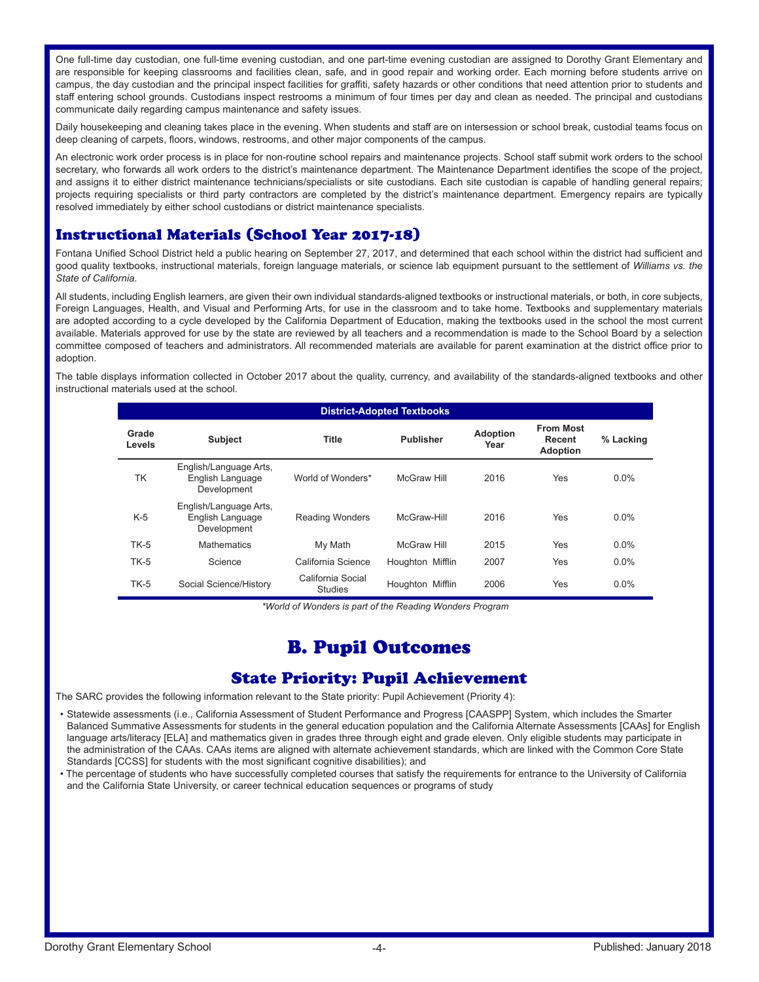One full-time day custodian, one full-time evening custodian, and one part-time evening custodian are assigned to Dorothy Grant Elementary and are responsible for keeping classrooms and facilities clean, safe, and in good repair and working order. Each morning before students arrive on campus, the day custodian and the principal inspect facilities for graffiti, safety hazards or other conditions that need attention prior to students and staff entering school grounds. Custodians inspect restrooms a minimum of four times per day and clean as needed. The principal and custodians communicate daily regarding campus maintenance and safety issues.

Daily housekeeping and cleaning takes place in the evening. When students and staff are on intersession or school break, custodial teams focus on deep cleaning of carpets, floors, windows, restrooms, and other major components of the campus.

An electronic work order process is in place for non-routine school repairs and maintenance projects. School staff submit work orders to the school secretary, who forwards all work orders to the district's maintenance department. The Maintenance Department identifies the scope of the project, and assigns it to either district maintenance technicians/specialists or site custodians. Each site custodian is capable of handling general repairs; projects requiring specialists or third party contractors are completed by the district's maintenance department. Emergency repairs are typically resolved immediately by either school custodians or district maintenance specialists.

#### Instructional Materials (School Year 2017-18)

Fontana Unified School District held a public hearing on September 27, 2017, and determined that each school within the district had sufficient and good quality textbooks, instructional materials, foreign language materials, or science lab equipment pursuant to the settlement of *Williams vs. the State of California.*

All students, including English learners, are given their own individual standards-aligned textbooks or instructional materials, or both, in core subjects, Foreign Languages, Health, and Visual and Performing Arts, for use in the classroom and to take home. Textbooks and supplementary materials are adopted according to a cycle developed by the California Department of Education, making the textbooks used in the school the most current available. Materials approved for use by the state are reviewed by all teachers and a recommendation is made to the School Board by a selection committee composed of teachers and administrators. All recommended materials are available for parent examination at the district office prior to adoption.

The table displays information collected in October 2017 about the quality, currency, and availability of the standards-aligned textbooks and other instructional materials used at the school.

|                 | <b>District-Adopted Textbooks</b>                         |                                               |                  |      |     |         |  |  |  |  |  |  |
|-----------------|-----------------------------------------------------------|-----------------------------------------------|------------------|------|-----|---------|--|--|--|--|--|--|
| Grade<br>Levels | <b>Subject</b>                                            | <b>From Most</b><br>Recent<br><b>Adoption</b> | % Lacking        |      |     |         |  |  |  |  |  |  |
| TK              | English/Language Arts,<br>English Language<br>Development | World of Wonders*                             | McGraw Hill      | 2016 | Yes | $0.0\%$ |  |  |  |  |  |  |
| K-5             | English/Language Arts,<br>English Language<br>Development | <b>Reading Wonders</b>                        | McGraw-Hill      | 2016 | Yes | $0.0\%$ |  |  |  |  |  |  |
| $TK-5$          | <b>Mathematics</b>                                        | My Math                                       | McGraw Hill      | 2015 | Yes | $0.0\%$ |  |  |  |  |  |  |
| $TK-5$          | Science                                                   | California Science                            | Houghton Mifflin | 2007 | Yes | $0.0\%$ |  |  |  |  |  |  |
| <b>TK-5</b>     | Social Science/History                                    | California Social<br><b>Studies</b>           | Houghton Mifflin | 2006 | Yes | $0.0\%$ |  |  |  |  |  |  |

*\*World of Wonders is part of the Reading Wonders Program*

# B. Pupil Outcomes

## State Priority: Pupil Achievement

The SARC provides the following information relevant to the State priority: Pupil Achievement (Priority 4):

- Statewide assessments (i.e., California Assessment of Student Performance and Progress [CAASPP] System, which includes the Smarter Balanced Summative Assessments for students in the general education population and the California Alternate Assessments [CAAs] for English language arts/literacy [ELA] and mathematics given in grades three through eight and grade eleven. Only eligible students may participate in the administration of the CAAs. CAAs items are aligned with alternate achievement standards, which are linked with the Common Core State Standards [CCSS] for students with the most significant cognitive disabilities); and
- The percentage of students who have successfully completed courses that satisfy the requirements for entrance to the University of California and the California State University, or career technical education sequences or programs of study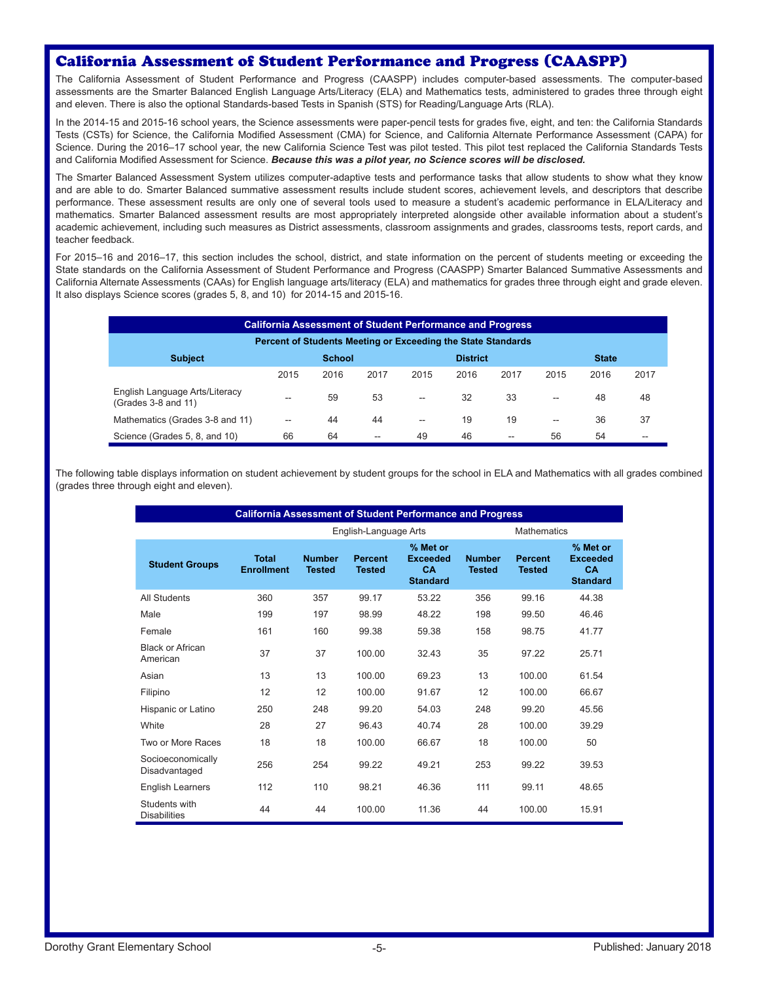#### California Assessment of Student Performance and Progress (CAASPP)

The California Assessment of Student Performance and Progress (CAASPP) includes computer-based assessments. The computer-based assessments are the Smarter Balanced English Language Arts/Literacy (ELA) and Mathematics tests, administered to grades three through eight and eleven. There is also the optional Standards-based Tests in Spanish (STS) for Reading/Language Arts (RLA).

In the 2014-15 and 2015-16 school years, the Science assessments were paper-pencil tests for grades five, eight, and ten: the California Standards Tests (CSTs) for Science, the California Modified Assessment (CMA) for Science, and California Alternate Performance Assessment (CAPA) for Science. During the 2016–17 school year, the new California Science Test was pilot tested. This pilot test replaced the California Standards Tests and California Modified Assessment for Science. *Because this was a pilot year, no Science scores will be disclosed.* 

The Smarter Balanced Assessment System utilizes computer-adaptive tests and performance tasks that allow students to show what they know and are able to do. Smarter Balanced summative assessment results include student scores, achievement levels, and descriptors that describe performance. These assessment results are only one of several tools used to measure a student's academic performance in ELA/Literacy and mathematics. Smarter Balanced assessment results are most appropriately interpreted alongside other available information about a student's academic achievement, including such measures as District assessments, classroom assignments and grades, classrooms tests, report cards, and teacher feedback.

For 2015–16 and 2016–17, this section includes the school, district, and state information on the percent of students meeting or exceeding the State standards on the California Assessment of Student Performance and Progress (CAASPP) Smarter Balanced Summative Assessments and California Alternate Assessments (CAAs) for English language arts/literacy (ELA) and mathematics for grades three through eight and grade eleven. It also displays Science scores (grades 5, 8, and 10) for 2014-15 and 2015-16.

| <b>California Assessment of Student Performance and Progress</b> |               |      |      |                   |      |      |              |      |      |  |  |  |
|------------------------------------------------------------------|---------------|------|------|-------------------|------|------|--------------|------|------|--|--|--|
| Percent of Students Meeting or Exceeding the State Standards     |               |      |      |                   |      |      |              |      |      |  |  |  |
| <b>Subject</b>                                                   | <b>School</b> |      |      | <b>District</b>   |      |      | <b>State</b> |      |      |  |  |  |
|                                                                  | 2015          | 2016 | 2017 | 2015              | 2016 | 2017 | 2015         | 2016 | 2017 |  |  |  |
| English Language Arts/Literacy<br>(Grades 3-8 and 11)            | --            | 59   | 53   | $- -$             | 32   | 33   | $-$          | 48   | 48   |  |  |  |
| Mathematics (Grades 3-8 and 11)                                  | --            | 44   | 44   | $\hspace{0.05cm}$ | 19   | 19   | $-$          | 36   | 37   |  |  |  |
| Science (Grades 5, 8, and 10)                                    | 66            | 64   | --   | 49                | 46   | --   | 56           | 54   | --   |  |  |  |

The following table displays information on student achievement by student groups for the school in ELA and Mathematics with all grades combined (grades three through eight and eleven).

| <b>California Assessment of Student Performance and Progress</b> |                                   |                                |                                 |                                                             |                                |                                 |                                                             |  |  |  |  |
|------------------------------------------------------------------|-----------------------------------|--------------------------------|---------------------------------|-------------------------------------------------------------|--------------------------------|---------------------------------|-------------------------------------------------------------|--|--|--|--|
|                                                                  |                                   | English-Language Arts          |                                 | <b>Mathematics</b>                                          |                                |                                 |                                                             |  |  |  |  |
| <b>Student Groups</b>                                            | <b>Total</b><br><b>Enrollment</b> | <b>Number</b><br><b>Tested</b> | <b>Percent</b><br><b>Tested</b> | % Met or<br><b>Exceeded</b><br><b>CA</b><br><b>Standard</b> | <b>Number</b><br><b>Tested</b> | <b>Percent</b><br><b>Tested</b> | % Met or<br><b>Exceeded</b><br><b>CA</b><br><b>Standard</b> |  |  |  |  |
| <b>All Students</b>                                              | 360                               | 357                            | 99.17                           | 53.22                                                       | 356                            | 99.16                           | 44.38                                                       |  |  |  |  |
| Male                                                             | 199                               | 197                            | 98.99                           | 48.22                                                       | 198                            | 99.50                           | 46.46                                                       |  |  |  |  |
| Female                                                           | 161                               | 160                            | 99.38                           | 59.38                                                       | 158                            | 98.75                           | 41.77                                                       |  |  |  |  |
| <b>Black or African</b><br>American                              | 37                                | 37                             | 100.00                          | 32.43                                                       | 35                             | 97.22                           | 25.71                                                       |  |  |  |  |
| Asian                                                            | 13                                | 13                             | 100.00                          | 69.23                                                       | 13                             | 100.00                          | 61.54                                                       |  |  |  |  |
| Filipino                                                         | 12                                | 12                             | 100.00                          | 91.67                                                       | 12                             | 100.00                          | 66.67                                                       |  |  |  |  |
| Hispanic or Latino                                               | 250                               | 248                            | 99.20                           | 54.03                                                       | 248                            | 99.20                           | 45.56                                                       |  |  |  |  |
| White                                                            | 28                                | 27                             | 96.43                           | 40.74                                                       | 28                             | 100.00                          | 39.29                                                       |  |  |  |  |
| Two or More Races                                                | 18                                | 18                             | 100.00                          | 66.67                                                       | 18                             | 100.00                          | 50                                                          |  |  |  |  |
| Socioeconomically<br>Disadvantaged                               | 256                               | 254                            | 99.22                           | 49.21                                                       | 253                            | 99.22                           | 39.53                                                       |  |  |  |  |
| <b>English Learners</b>                                          | 112                               | 110                            | 98.21                           | 46.36                                                       | 111                            | 99.11                           | 48.65                                                       |  |  |  |  |
| Students with<br><b>Disabilities</b>                             | 44                                | 44                             | 100.00                          | 11.36                                                       | 44                             | 100.00                          | 15.91                                                       |  |  |  |  |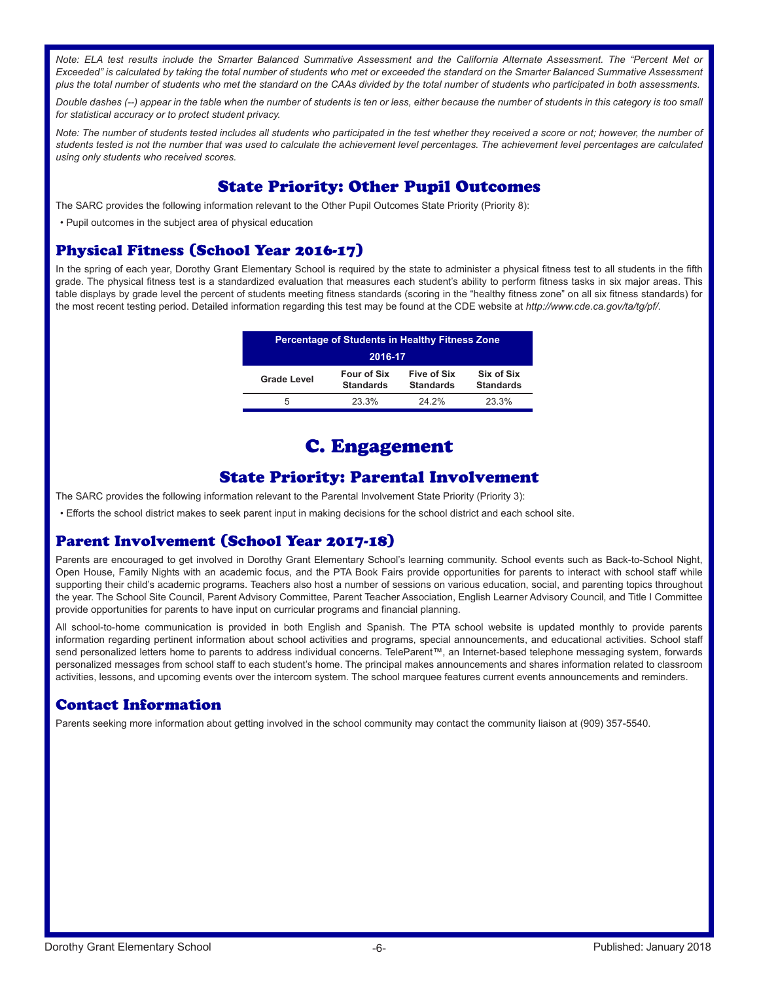*Note: ELA test results include the Smarter Balanced Summative Assessment and the California Alternate Assessment. The "Percent Met or Exceeded" is calculated by taking the total number of students who met or exceeded the standard on the Smarter Balanced Summative Assessment plus the total number of students who met the standard on the CAAs divided by the total number of students who participated in both assessments.*

*Double dashes (--) appear in the table when the number of students is ten or less, either because the number of students in this category is too small for statistical accuracy or to protect student privacy.*

Note: The number of students tested includes all students who participated in the test whether they received a score or not; however, the number of *students tested is not the number that was used to calculate the achievement level percentages. The achievement level percentages are calculated using only students who received scores.*

## State Priority: Other Pupil Outcomes

The SARC provides the following information relevant to the Other Pupil Outcomes State Priority (Priority 8):

• Pupil outcomes in the subject area of physical education

#### Physical Fitness (School Year 2016-17)

In the spring of each year, Dorothy Grant Elementary School is required by the state to administer a physical fitness test to all students in the fifth grade. The physical fitness test is a standardized evaluation that measures each student's ability to perform fitness tasks in six major areas. This table displays by grade level the percent of students meeting fitness standards (scoring in the "healthy fitness zone" on all six fitness standards) for the most recent testing period. Detailed information regarding this test may be found at the CDE website at *http://www.cde.ca.gov/ta/tg/pf/*.

| <b>Percentage of Students in Healthy Fitness Zone</b> |                                        |                                 |                                |  |  |  |  |  |  |  |
|-------------------------------------------------------|----------------------------------------|---------------------------------|--------------------------------|--|--|--|--|--|--|--|
| 2016-17                                               |                                        |                                 |                                |  |  |  |  |  |  |  |
| <b>Grade Level</b>                                    | <b>Four of Six</b><br><b>Standards</b> | Five of Six<br><b>Standards</b> | Six of Six<br><b>Standards</b> |  |  |  |  |  |  |  |
| 5                                                     | 23.3%                                  | 24.2%                           | 23.3%                          |  |  |  |  |  |  |  |

## C. Engagement

#### State Priority: Parental Involvement

The SARC provides the following information relevant to the Parental Involvement State Priority (Priority 3):

• Efforts the school district makes to seek parent input in making decisions for the school district and each school site.

#### Parent Involvement (School Year 2017-18)

Parents are encouraged to get involved in Dorothy Grant Elementary School's learning community. School events such as Back-to-School Night, Open House, Family Nights with an academic focus, and the PTA Book Fairs provide opportunities for parents to interact with school staff while supporting their child's academic programs. Teachers also host a number of sessions on various education, social, and parenting topics throughout the year. The School Site Council, Parent Advisory Committee, Parent Teacher Association, English Learner Advisory Council, and Title I Committee provide opportunities for parents to have input on curricular programs and financial planning.

All school-to-home communication is provided in both English and Spanish. The PTA school website is updated monthly to provide parents information regarding pertinent information about school activities and programs, special announcements, and educational activities. School staff send personalized letters home to parents to address individual concerns. TeleParent™, an Internet-based telephone messaging system, forwards personalized messages from school staff to each student's home. The principal makes announcements and shares information related to classroom activities, lessons, and upcoming events over the intercom system. The school marquee features current events announcements and reminders.

## Contact Information

Parents seeking more information about getting involved in the school community may contact the community liaison at (909) 357-5540.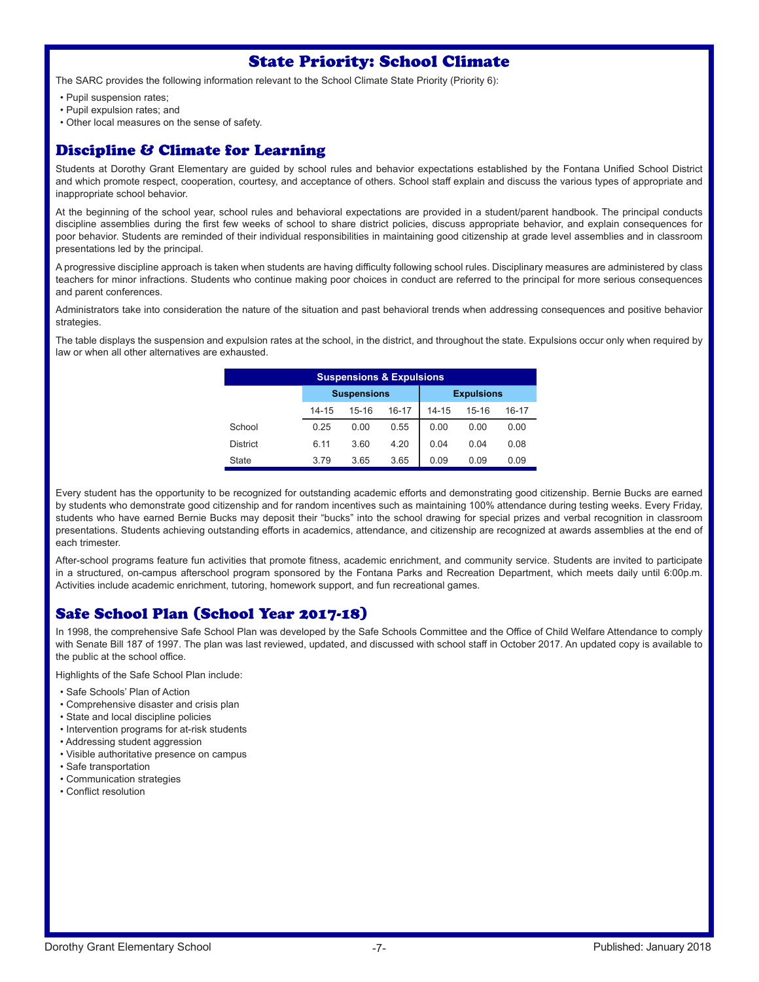### State Priority: School Climate

The SARC provides the following information relevant to the School Climate State Priority (Priority 6):

- Pupil suspension rates;
- Pupil expulsion rates; and
- Other local measures on the sense of safety.

### Discipline & Climate for Learning

Students at Dorothy Grant Elementary are guided by school rules and behavior expectations established by the Fontana Unified School District and which promote respect, cooperation, courtesy, and acceptance of others. School staff explain and discuss the various types of appropriate and inappropriate school behavior.

At the beginning of the school year, school rules and behavioral expectations are provided in a student/parent handbook. The principal conducts discipline assemblies during the first few weeks of school to share district policies, discuss appropriate behavior, and explain consequences for poor behavior. Students are reminded of their individual responsibilities in maintaining good citizenship at grade level assemblies and in classroom presentations led by the principal.

A progressive discipline approach is taken when students are having difficulty following school rules. Disciplinary measures are administered by class teachers for minor infractions. Students who continue making poor choices in conduct are referred to the principal for more serious consequences and parent conferences.

Administrators take into consideration the nature of the situation and past behavioral trends when addressing consequences and positive behavior strategies.

The table displays the suspension and expulsion rates at the school, in the district, and throughout the state. Expulsions occur only when required by law or when all other alternatives are exhausted.

| <b>Suspensions &amp; Expulsions</b> |       |                    |       |           |                   |       |  |  |  |  |  |
|-------------------------------------|-------|--------------------|-------|-----------|-------------------|-------|--|--|--|--|--|
|                                     |       | <b>Suspensions</b> |       |           | <b>Expulsions</b> |       |  |  |  |  |  |
|                                     | 14-15 | 15-16              | 16-17 | $14 - 15$ | 15-16             | 16-17 |  |  |  |  |  |
| School                              | 0.25  | 0.00               | 0.55  | 0.00      | 0.00              | 0.00  |  |  |  |  |  |
| <b>District</b>                     | 6.11  | 3.60               | 4.20  | 0.04      | 0.04              | 0.08  |  |  |  |  |  |
| <b>State</b>                        | 3.79  | 3.65               | 3.65  | 0.09      | 0.09              | 0.09  |  |  |  |  |  |

Every student has the opportunity to be recognized for outstanding academic efforts and demonstrating good citizenship. Bernie Bucks are earned by students who demonstrate good citizenship and for random incentives such as maintaining 100% attendance during testing weeks. Every Friday, students who have earned Bernie Bucks may deposit their "bucks" into the school drawing for special prizes and verbal recognition in classroom presentations. Students achieving outstanding efforts in academics, attendance, and citizenship are recognized at awards assemblies at the end of each trimester.

After-school programs feature fun activities that promote fitness, academic enrichment, and community service. Students are invited to participate in a structured, on-campus afterschool program sponsored by the Fontana Parks and Recreation Department, which meets daily until 6:00p.m. Activities include academic enrichment, tutoring, homework support, and fun recreational games.

## Safe School Plan (School Year 2017-18)

In 1998, the comprehensive Safe School Plan was developed by the Safe Schools Committee and the Office of Child Welfare Attendance to comply with Senate Bill 187 of 1997. The plan was last reviewed, updated, and discussed with school staff in October 2017. An updated copy is available to the public at the school office.

Highlights of the Safe School Plan include:

- Safe Schools' Plan of Action
- Comprehensive disaster and crisis plan
- State and local discipline policies
- Intervention programs for at-risk students
- Addressing student aggression
- Visible authoritative presence on campus
- Safe transportation
- Communication strategies
- Conflict resolution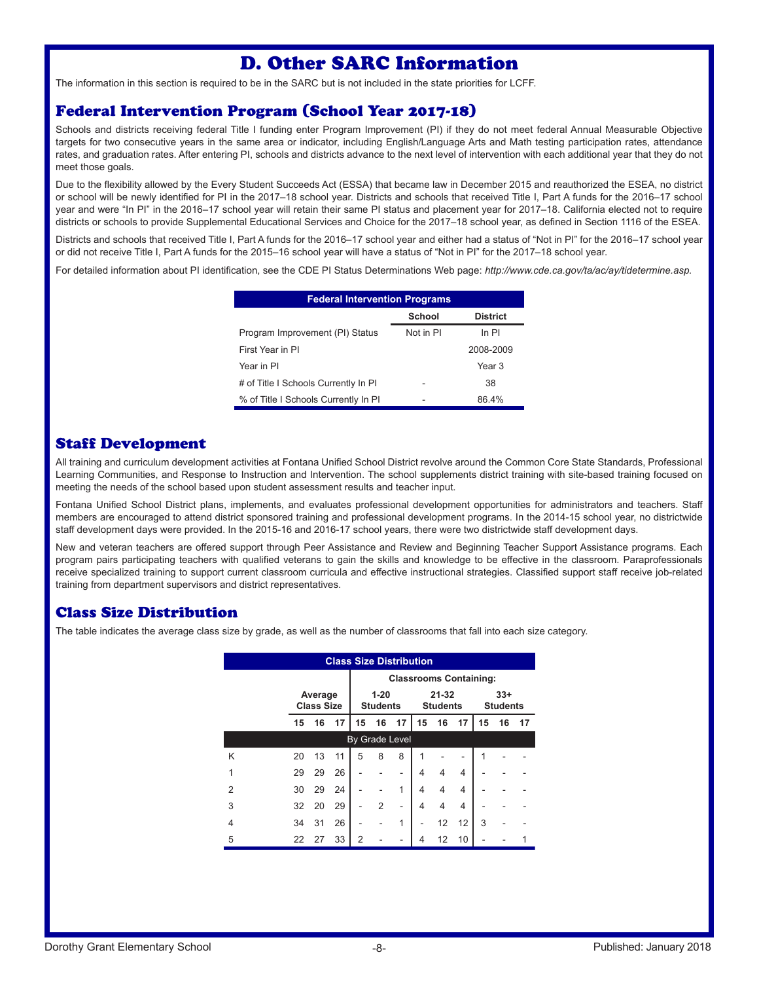## D. Other SARC Information

The information in this section is required to be in the SARC but is not included in the state priorities for LCFF.

#### Federal Intervention Program (School Year 2017-18)

Schools and districts receiving federal Title I funding enter Program Improvement (PI) if they do not meet federal Annual Measurable Objective targets for two consecutive years in the same area or indicator, including English/Language Arts and Math testing participation rates, attendance rates, and graduation rates. After entering PI, schools and districts advance to the next level of intervention with each additional year that they do not meet those goals.

Due to the flexibility allowed by the Every Student Succeeds Act (ESSA) that became law in December 2015 and reauthorized the ESEA, no district or school will be newly identified for PI in the 2017–18 school year. Districts and schools that received Title I, Part A funds for the 2016–17 school year and were "In PI" in the 2016–17 school year will retain their same PI status and placement year for 2017–18. California elected not to require districts or schools to provide Supplemental Educational Services and Choice for the 2017–18 school year, as defined in Section 1116 of the ESEA.

Districts and schools that received Title I, Part A funds for the 2016–17 school year and either had a status of "Not in PI" for the 2016–17 school year or did not receive Title I, Part A funds for the 2015–16 school year will have a status of "Not in PI" for the 2017–18 school year.

For detailed information about PI identification, see the CDE PI Status Determinations Web page: *http://www.cde.ca.gov/ta/ac/ay/tidetermine.asp.*

| <b>Federal Intervention Programs</b> |                           |           |  |  |  |  |  |  |  |  |
|--------------------------------------|---------------------------|-----------|--|--|--|--|--|--|--|--|
|                                      | School<br><b>District</b> |           |  |  |  |  |  |  |  |  |
| Program Improvement (PI) Status      | Not in PI                 | ln Pl     |  |  |  |  |  |  |  |  |
| First Year in PI                     |                           | 2008-2009 |  |  |  |  |  |  |  |  |
| Year in PI                           |                           | Year 3    |  |  |  |  |  |  |  |  |
| # of Title I Schools Currently In PI |                           | 38        |  |  |  |  |  |  |  |  |
| % of Title I Schools Currently In PI |                           | 86.4%     |  |  |  |  |  |  |  |  |

#### Staff Development

All training and curriculum development activities at Fontana Unified School District revolve around the Common Core State Standards, Professional Learning Communities, and Response to Instruction and Intervention. The school supplements district training with site-based training focused on meeting the needs of the school based upon student assessment results and teacher input.

Fontana Unified School District plans, implements, and evaluates professional development opportunities for administrators and teachers. Staff members are encouraged to attend district sponsored training and professional development programs. In the 2014-15 school year, no districtwide staff development days were provided. In the 2015-16 and 2016-17 school years, there were two districtwide staff development days.

New and veteran teachers are offered support through Peer Assistance and Review and Beginning Teacher Support Assistance programs. Each program pairs participating teachers with qualified veterans to gain the skills and knowledge to be effective in the classroom. Paraprofessionals receive specialized training to support current classroom curricula and effective instructional strategies. Classified support staff receive job-related training from department supervisors and district representatives.

#### Class Size Distribution

The table indicates the average class size by grade, as well as the number of classrooms that fall into each size category.

| <b>Class Size Distribution</b> |    |                              |    |                |                             |    |                          |                               |                          |    |    |    |
|--------------------------------|----|------------------------------|----|----------------|-----------------------------|----|--------------------------|-------------------------------|--------------------------|----|----|----|
|                                |    |                              |    |                |                             |    |                          | <b>Classrooms Containing:</b> |                          |    |    |    |
|                                |    | Average<br><b>Class Size</b> |    |                | $1 - 20$<br><b>Students</b> |    | 21-32<br><b>Students</b> |                               | $33+$<br><b>Students</b> |    |    |    |
|                                | 15 | 16                           | 17 | 15             | 16                          | 17 | 15                       | 16                            | 17                       | 15 | 16 | 17 |
|                                |    |                              |    | By Grade Level |                             |    |                          |                               |                          |    |    |    |
| Κ                              | 20 | 13                           | 11 | 5              | 8                           | 8  |                          |                               |                          |    |    |    |
| 1                              | 29 | 29                           | 26 |                |                             |    | 4                        | 4                             | 4                        |    |    |    |
| $\mathfrak{p}$                 | 30 | 29                           | 24 |                |                             | 1  | 4                        | 4                             | 4                        |    |    |    |
| 3                              | 32 | 20                           | 29 |                | 2                           | ۰  | 4                        | 4                             | 4                        |    |    |    |
| 4                              | 34 | 31                           | 26 |                |                             | 1  |                          | 12                            | 12                       | 3  |    |    |
| 5                              | 22 | 27                           | 33 | $\overline{2}$ |                             |    | 4                        | 12                            | 10                       |    |    |    |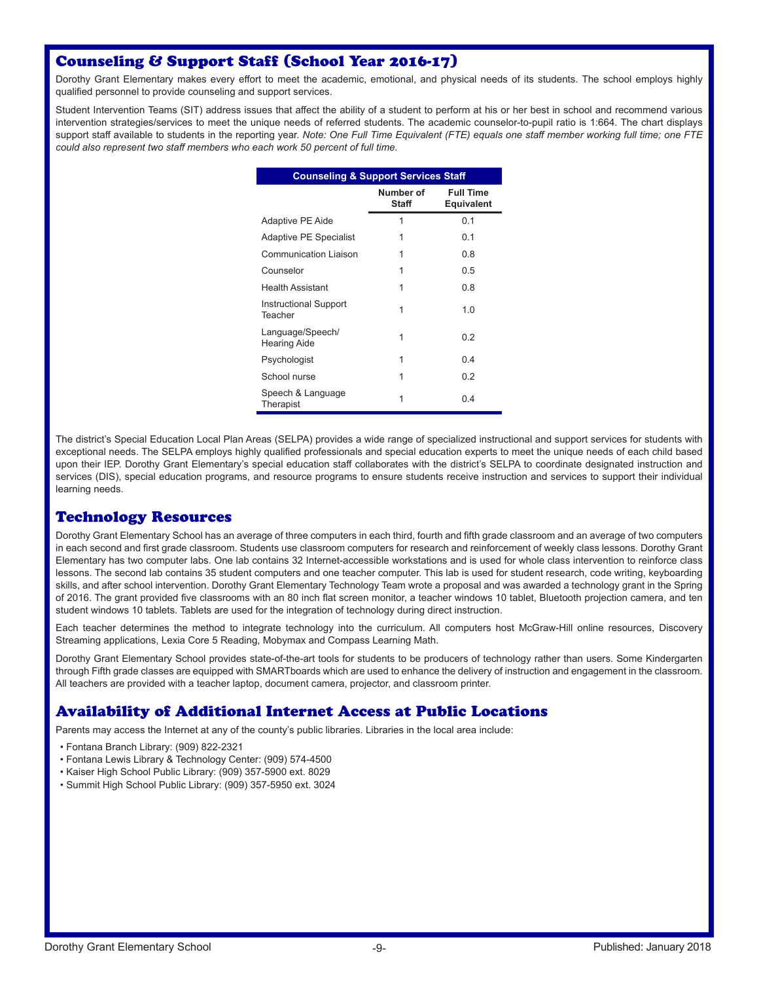### Counseling & Support Staff (School Year 2016-17)

Dorothy Grant Elementary makes every effort to meet the academic, emotional, and physical needs of its students. The school employs highly qualified personnel to provide counseling and support services.

Student Intervention Teams (SIT) address issues that affect the ability of a student to perform at his or her best in school and recommend various intervention strategies/services to meet the unique needs of referred students. The academic counselor-to-pupil ratio is 1:664. The chart displays support staff available to students in the reporting year. *Note: One Full Time Equivalent (FTE) equals one staff member working full time; one FTE could also represent two staff members who each work 50 percent of full time.*

| <b>Counseling &amp; Support Services Staff</b> |                           |                                |  |
|------------------------------------------------|---------------------------|--------------------------------|--|
|                                                | Number of<br><b>Staff</b> | <b>Full Time</b><br>Equivalent |  |
| Adaptive PE Aide                               | 1                         | 0.1                            |  |
| <b>Adaptive PE Specialist</b>                  | 1                         | 0.1                            |  |
| Communication Liaison                          | 1                         | 0.8                            |  |
| Counselor                                      | 1                         | 0.5                            |  |
| <b>Health Assistant</b>                        | 1                         | 0.8                            |  |
| Instructional Support<br>Teacher               | 1                         | 1.0                            |  |
| Language/Speech/<br><b>Hearing Aide</b>        | 1                         | 0.2                            |  |
| Psychologist                                   | 1                         | 0.4                            |  |
| School nurse                                   | 1                         | 0.2                            |  |
| Speech & Language<br>Therapist                 | 1                         | 0.4                            |  |
|                                                |                           |                                |  |

The district's Special Education Local Plan Areas (SELPA) provides a wide range of specialized instructional and support services for students with exceptional needs. The SELPA employs highly qualified professionals and special education experts to meet the unique needs of each child based upon their IEP. Dorothy Grant Elementary's special education staff collaborates with the district's SELPA to coordinate designated instruction and services (DIS), special education programs, and resource programs to ensure students receive instruction and services to support their individual learning needs.

#### Technology Resources

Dorothy Grant Elementary School has an average of three computers in each third, fourth and fifth grade classroom and an average of two computers in each second and first grade classroom. Students use classroom computers for research and reinforcement of weekly class lessons. Dorothy Grant Elementary has two computer labs. One lab contains 32 Internet-accessible workstations and is used for whole class intervention to reinforce class lessons. The second lab contains 35 student computers and one teacher computer. This lab is used for student research, code writing, keyboarding skills, and after school intervention. Dorothy Grant Elementary Technology Team wrote a proposal and was awarded a technology grant in the Spring of 2016. The grant provided five classrooms with an 80 inch flat screen monitor, a teacher windows 10 tablet, Bluetooth projection camera, and ten student windows 10 tablets. Tablets are used for the integration of technology during direct instruction.

Each teacher determines the method to integrate technology into the curriculum. All computers host McGraw-Hill online resources, Discovery Streaming applications, Lexia Core 5 Reading, Mobymax and Compass Learning Math.

Dorothy Grant Elementary School provides state-of-the-art tools for students to be producers of technology rather than users. Some Kindergarten through Fifth grade classes are equipped with SMARTboards which are used to enhance the delivery of instruction and engagement in the classroom. All teachers are provided with a teacher laptop, document camera, projector, and classroom printer.

## Availability of Additional Internet Access at Public Locations

Parents may access the Internet at any of the county's public libraries. Libraries in the local area include:

- Fontana Branch Library: (909) 822-2321
- Fontana Lewis Library & Technology Center: (909) 574-4500
- Kaiser High School Public Library: (909) 357-5900 ext. 8029
- Summit High School Public Library: (909) 357-5950 ext. 3024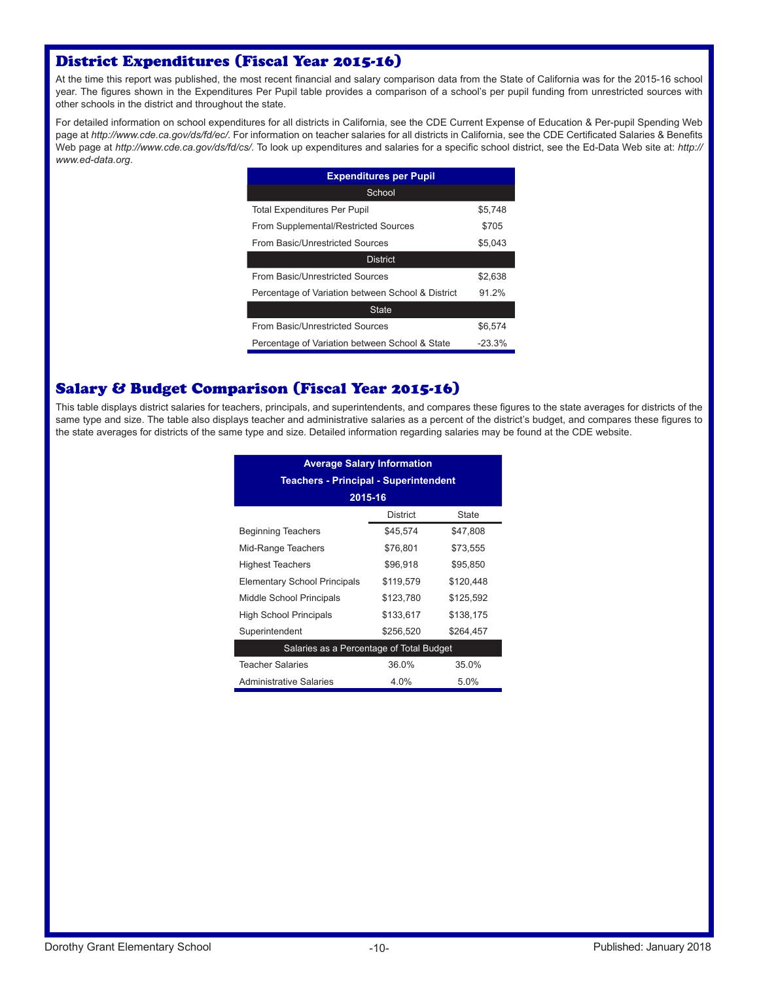## District Expenditures (Fiscal Year 2015-16)

At the time this report was published, the most recent financial and salary comparison data from the State of California was for the 2015-16 school year. The figures shown in the Expenditures Per Pupil table provides a comparison of a school's per pupil funding from unrestricted sources with other schools in the district and throughout the state.

For detailed information on school expenditures for all districts in California, see the CDE Current Expense of Education & Per-pupil Spending Web page at *http://www.cde.ca.gov/ds/fd/ec/*. For information on teacher salaries for all districts in California, see the CDE Certificated Salaries & Benefits Web page at *http://www.cde.ca.gov/ds/fd/cs/*. To look up expenditures and salaries for a specific school district, see the Ed-Data Web site at: *http:// www.ed-data.org*.

| <b>Expenditures per Pupil</b>                     |          |  |  |
|---------------------------------------------------|----------|--|--|
| School                                            |          |  |  |
| <b>Total Expenditures Per Pupil</b>               | \$5,748  |  |  |
| <b>From Supplemental/Restricted Sources</b>       | \$705    |  |  |
| From Basic/Unrestricted Sources                   | \$5,043  |  |  |
| <b>District</b>                                   |          |  |  |
| From Basic/Unrestricted Sources                   | \$2.638  |  |  |
| Percentage of Variation between School & District | $91.2\%$ |  |  |
| <b>State</b>                                      |          |  |  |
| From Basic/Unrestricted Sources                   | \$6.574  |  |  |
| Percentage of Variation between School & State    |          |  |  |

## Salary & Budget Comparison (Fiscal Year 2015-16)

This table displays district salaries for teachers, principals, and superintendents, and compares these figures to the state averages for districts of the same type and size. The table also displays teacher and administrative salaries as a percent of the district's budget, and compares these figures to the state averages for districts of the same type and size. Detailed information regarding salaries may be found at the CDE website.

| <b>Average Salary Information</b>            |                 |              |  |  |
|----------------------------------------------|-----------------|--------------|--|--|
| <b>Teachers - Principal - Superintendent</b> |                 |              |  |  |
| 2015-16                                      |                 |              |  |  |
|                                              | <b>District</b> | <b>State</b> |  |  |
| <b>Beginning Teachers</b>                    | \$45,574        | \$47,808     |  |  |
| Mid-Range Teachers                           | \$76.801        | \$73.555     |  |  |
| <b>Highest Teachers</b>                      | \$96,918        | \$95,850     |  |  |
| <b>Elementary School Principals</b>          | \$119,579       | \$120,448    |  |  |
| Middle School Principals                     | \$123,780       | \$125,592    |  |  |
| <b>High School Principals</b>                | \$133.617       | \$138.175    |  |  |
| Superintendent                               | \$256.520       | \$264.457    |  |  |
| Salaries as a Percentage of Total Budget     |                 |              |  |  |
| <b>Teacher Salaries</b>                      | 36.0%           | 35.0%        |  |  |
| Administrative Salaries                      | 4.0%            | 5.0%         |  |  |